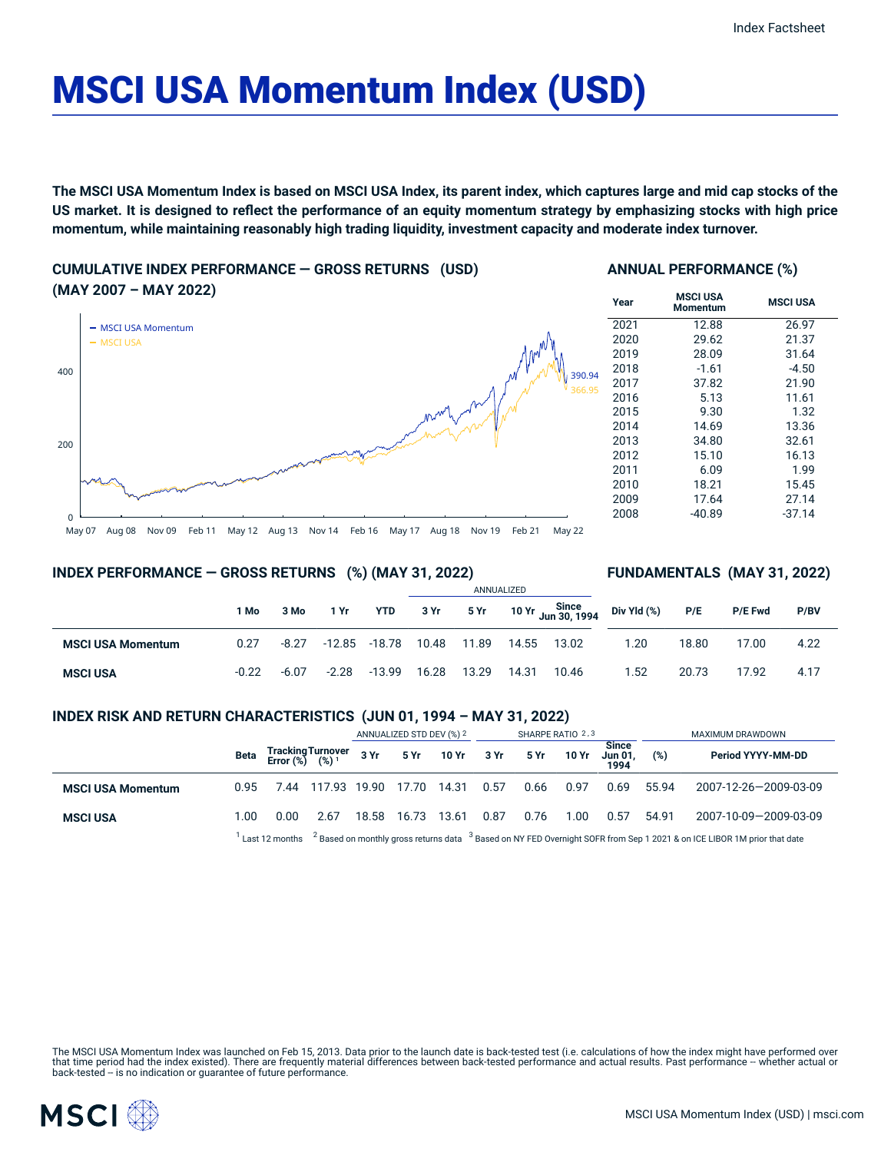# MSCI USA Momentum Index (USD)

The MSCI USA Momentum Index is based on MSCI USA Index, its parent index, which captures large and mid cap stocks of the US market. It is designed to reflect the performance of an equity momentum strategy by emphasizing stocks with high price **momentum, while maintaining reasonably high trading liquidity, investment capacity and moderate index turnover.**

**CUMULATIVE INDEX PERFORMANCE — GROSS RETURNS (USD) (MAY 2007 – MAY 2022)**



## **ANNUAL PERFORMANCE (%)**

| Year              | <b>MSCI USA</b><br><b>Momentum</b> | <b>MSCI USA</b> |
|-------------------|------------------------------------|-----------------|
| $\overline{20}21$ | 12.88                              | 26.97           |
| 2020              | 29.62                              | 21.37           |
| 2019              | 28.09                              | 31.64           |
| 2018              | $-1.61$                            | $-4.50$         |
| 2017              | 37.82                              | 21.90           |
| 2016              | 5.13                               | 11.61           |
| 2015              | 9.30                               | 1.32            |
| 2014              | 14.69                              | 13.36           |
| 2013              | 34.80                              | 32.61           |
| 2012              | 15.10                              | 16.13           |
| 2011              | 6.09                               | 1.99            |
| 2010              | 18.21                              | 15.45           |
| 2009              | 17.64                              | 27.14           |
| 2008              | $-40.89$                           | $-37.14$        |
|                   |                                    |                 |

## **INDEX PERFORMANCE — GROSS RETURNS (%) (MAY 31, 2022)**

## **FUNDAMENTALS (MAY 31, 2022)**

|                          |         |         |         |              | ANNUALIZED |       |       |       |                                                                       |       |                |      |
|--------------------------|---------|---------|---------|--------------|------------|-------|-------|-------|-----------------------------------------------------------------------|-------|----------------|------|
|                          | 1 Mo    | 3 Mo    | 1 Yr    | YTD          | 3 Yr       |       |       |       | $5$ Yr $10$ Yr $\frac{\text{Since}}{\text{Jun }30, 1994}$ Div Yld (%) | P/E   | <b>P/E Fwd</b> | P/BV |
| <b>MSCI USA Momentum</b> | 0.27    | $-8.27$ | -12.85  | -18.78 10.48 |            | 11.89 | 14.55 | 13.02 | 1.20                                                                  | 18.80 | 17.00          | 4.22 |
| <b>MSCI USA</b>          | $-0.22$ | $-6.07$ | $-2.28$ | $-13.99$     | 16.28      | 13.29 | 14.31 | 10.46 | 1.52                                                                  | 20.73 | 17.92          | 4.17 |

# **INDEX RISK AND RETURN CHARACTERISTICS (JUN 01, 1994 – MAY 31, 2022)**

|                          |      |                                                                                                                                                               |                                                 | ANNUALIZED STD DEV (%) 2 |       | SHARPE RATIO 2,3 |      |      |       | MAXIMUM DRAWDOWN                       |       |                       |
|--------------------------|------|---------------------------------------------------------------------------------------------------------------------------------------------------------------|-------------------------------------------------|--------------------------|-------|------------------|------|------|-------|----------------------------------------|-------|-----------------------|
|                          | Beta |                                                                                                                                                               | Tracking Turnover<br>Error (%) (%) <sup>1</sup> |                          |       | 3 Yr 5 Yr 10 Yr  | 3 Yr | 5 Yr | 10 Yr | <b>Since</b><br><b>Jun 01.</b><br>1994 | (%)   | Period YYYY-MM-DD     |
| <b>MSCI USA Momentum</b> | 0.95 | 7.44                                                                                                                                                          | 117.93 19.90                                    |                          | 17.70 | 14.31            | 0.57 | 0.66 | 0.97  | 0.69                                   | 55.94 | 2007-12-26-2009-03-09 |
| <b>MSCI USA</b>          | 1.00 | 0.00                                                                                                                                                          | 2.67                                            | 18.58                    | 16.73 | 13.61            | 0.87 | 0.76 | 1.00  | 0.57                                   | 54.91 | 2007-10-09-2009-03-09 |
|                          |      | Last 12 months <sup>2</sup> Based on monthly gross returns data <sup>3</sup> Based on NY FED Overnight SOFR from Sep 1 2021 & on ICE LIBOR 1M prior that date |                                                 |                          |       |                  |      |      |       |                                        |       |                       |

The MSCI USA Momentum Index was launched on Feb 15, 2013. Data prior to the launch date is back-tested test (i.e. calculations of how the index might have performed over<br>that time period had the index existed). There are f

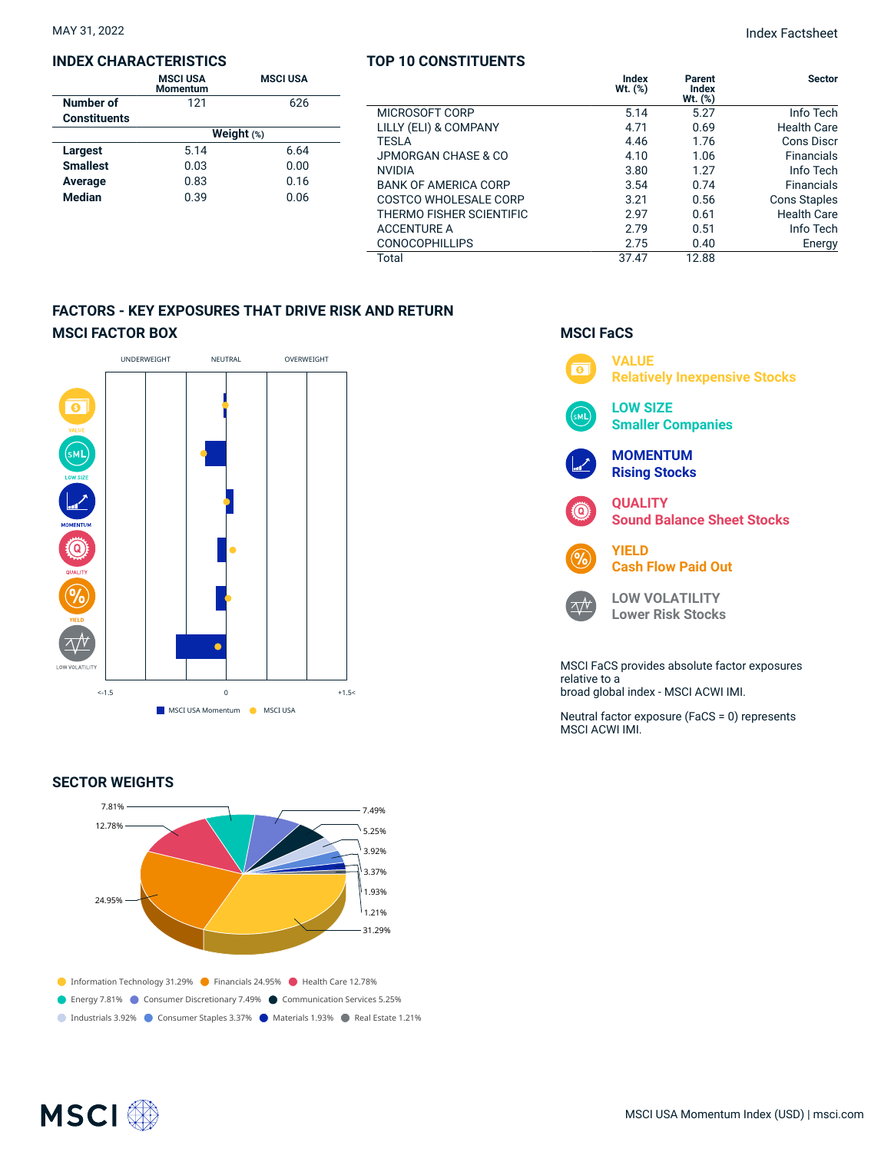#### **INDEX CHARACTERISTICS**

|                     | <b>MSCI USA</b><br><b>Momentum</b> | <b>MSCI USA</b> |  |  |  |  |
|---------------------|------------------------------------|-----------------|--|--|--|--|
| Number of           | 121                                | 626             |  |  |  |  |
| <b>Constituents</b> |                                    |                 |  |  |  |  |
|                     | Weight $(*)$                       |                 |  |  |  |  |
| Largest             | 5.14                               | 6.64            |  |  |  |  |
| <b>Smallest</b>     | 0.03                               | 0.00            |  |  |  |  |
| Average             | 0.83                               | 0.16            |  |  |  |  |
| <b>Median</b>       | 0.39                               | 0.06            |  |  |  |  |

## **TOP 10 CONSTITUENTS**

|                             | Index<br>Wt. (%) | Parent<br>Index<br>$Wt.$ (%) | <b>Sector</b>       |
|-----------------------------|------------------|------------------------------|---------------------|
| MICROSOFT CORP              | 5.14             | 5.27                         | Info Tech           |
| LILLY (ELI) & COMPANY       | 4.71             | 0.69                         | <b>Health Care</b>  |
| <b>TESLA</b>                | 4.46             | 1.76                         | Cons Discr          |
| JPMORGAN CHASE & CO         | 4.10             | 1.06                         | <b>Financials</b>   |
| <b>NVIDIA</b>               | 3.80             | 1.27                         | Info Tech           |
| <b>BANK OF AMERICA CORP</b> | 3.54             | 0.74                         | <b>Financials</b>   |
| COSTCO WHOLESALE CORP       | 3.21             | 0.56                         | <b>Cons Staples</b> |
| THERMO FISHER SCIENTIFIC    | 2.97             | 0.61                         | <b>Health Care</b>  |
| <b>ACCENTURE A</b>          | 2.79             | 0.51                         | Info Tech           |
| <b>CONOCOPHILLIPS</b>       | 2.75             | 0.40                         | Energy              |
| Total                       | 37.47            | 12.88                        |                     |

# **FACTORS - KEY EXPOSURES THAT DRIVE RISK AND RETURN MSCI FACTOR BOX**



## **SECTOR WEIGHTS**



# **MSCI FaCS**



broad global index - MSCI ACWI IMI.

Neutral factor exposure (FaCS = 0) represents MSCI ACWI IMI.